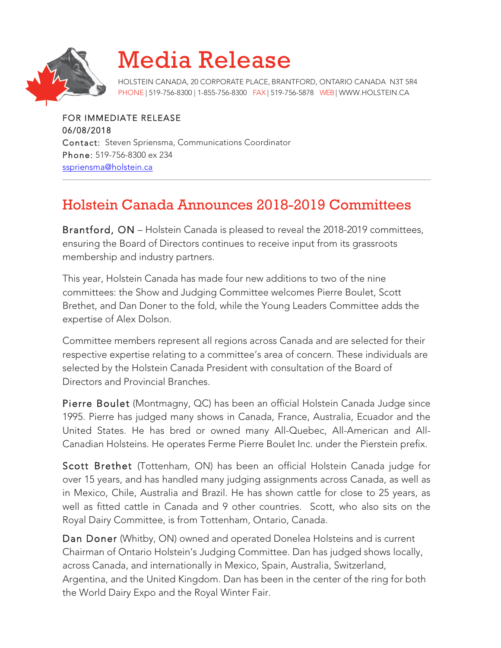

## Media Release

HOLSTEIN CANADA, 20 CORPORATE PLACE, BRANTFORD, ONTARIO CANADA N3T 5R4 PHONE | 519-756-8300 | 1-855-756-8300 FAX | 519-756-5878 WEB| WWW.HOLSTEIN.CA

FOR IMMEDIATE RELEASE 06/08/2018 Contact: Steven Spriensma, Communications Coordinator Phone: 519-756-8300 ex 234 sspriensma@holstein.ca

## Holstein Canada Announces 2018-2019 Committees

Brantford, ON – Holstein Canada is pleased to reveal the 2018-2019 committees, ensuring the Board of Directors continues to receive input from its grassroots membership and industry partners.

This year, Holstein Canada has made four new additions to two of the nine committees: the Show and Judging Committee welcomes Pierre Boulet, Scott Brethet, and Dan Doner to the fold, while the Young Leaders Committee adds the expertise of Alex Dolson.

Committee members represent all regions across Canada and are selected for their respective expertise relating to a committee's area of concern. These individuals are selected by the Holstein Canada President with consultation of the Board of Directors and Provincial Branches.

Pierre Boulet (Montmagny, QC) has been an official Holstein Canada Judge since 1995. Pierre has judged many shows in Canada, France, Australia, Ecuador and the United States. He has bred or owned many All-Quebec, All-American and All-Canadian Holsteins. He operates Ferme Pierre Boulet Inc. under the Pierstein prefix.

Scott Brethet (Tottenham, ON) has been an official Holstein Canada judge for over 15 years, and has handled many judging assignments across Canada, as well as in Mexico, Chile, Australia and Brazil. He has shown cattle for close to 25 years, as well as fitted cattle in Canada and 9 other countries. Scott, who also sits on the Royal Dairy Committee, is from Tottenham, Ontario, Canada.

Dan Doner (Whitby, ON) owned and operated Donelea Holsteins and is current Chairman of Ontario Holstein's Judging Committee. Dan has judged shows locally, across Canada, and internationally in Mexico, Spain, Australia, Switzerland, Argentina, and the United Kingdom. Dan has been in the center of the ring for both the World Dairy Expo and the Royal Winter Fair.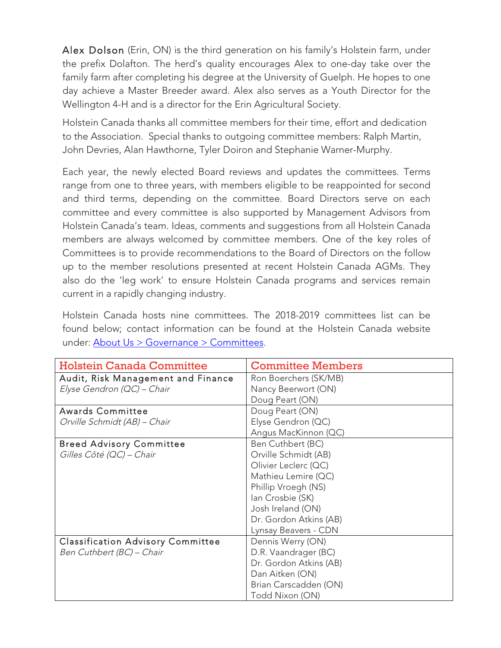Alex Dolson (Erin, ON) is the third generation on his family's Holstein farm, under the prefix Dolafton. The herd's quality encourages Alex to one-day take over the family farm after completing his degree at the University of Guelph. He hopes to one day achieve a Master Breeder award. Alex also serves as a Youth Director for the Wellington 4-H and is a director for the Erin Agricultural Society.

Holstein Canada thanks all committee members for their time, effort and dedication to the Association. Special thanks to outgoing committee members: Ralph Martin, John Devries, Alan Hawthorne, Tyler Doiron and Stephanie Warner-Murphy.

Each year, the newly elected Board reviews and updates the committees. Terms range from one to three years, with members eligible to be reappointed for second and third terms, depending on the committee. Board Directors serve on each committee and every committee is also supported by Management Advisors from Holstein Canada's team. Ideas, comments and suggestions from all Holstein Canada members are always welcomed by committee members. One of the key roles of Committees is to provide recommendations to the Board of Directors on the follow up to the member resolutions presented at recent Holstein Canada AGMs. They also do the 'leg work' to ensure Holstein Canada programs and services remain current in a rapidly changing industry.

Holstein Canada hosts nine committees. The 2018-2019 committees list can be found below; contact information can be found at the Holstein Canada website under: About Us > Governance > Committees.

| <b>Holstein Canada Committee</b>         | <b>Committee Members</b> |
|------------------------------------------|--------------------------|
| Audit, Risk Management and Finance       | Ron Boerchers (SK/MB)    |
| Elyse Gendron (QC) - Chair               | Nancy Beerwort (ON)      |
|                                          | Doug Peart (ON)          |
| <b>Awards Committee</b>                  | Doug Peart (ON)          |
| Orville Schmidt (AB) - Chair             | Elyse Gendron (QC)       |
|                                          | Angus MacKinnon (QC)     |
| <b>Breed Advisory Committee</b>          | Ben Cuthbert (BC)        |
| Gilles Côté (QC) - Chair                 | Orville Schmidt (AB)     |
|                                          | Olivier Leclerc (QC)     |
|                                          | Mathieu Lemire (QC)      |
|                                          | Phillip Vroegh (NS)      |
|                                          | Ian Crosbie (SK)         |
|                                          | Josh Ireland (ON)        |
|                                          | Dr. Gordon Atkins (AB)   |
|                                          | Lynsay Beavers - CDN     |
| <b>Classification Advisory Committee</b> | Dennis Werry (ON)        |
| Ben Cuthbert (BC) - Chair                | D.R. Vaandrager (BC)     |
|                                          | Dr. Gordon Atkins (AB)   |
|                                          | Dan Aitken (ON)          |
|                                          | Brian Carscadden (ON)    |
|                                          | Todd Nixon (ON)          |